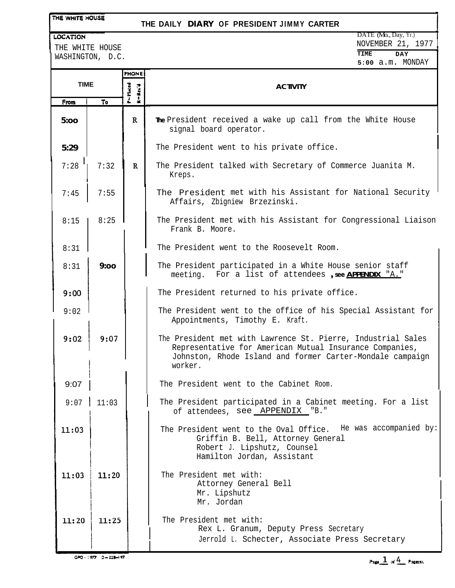## THE WHITE HOUSE

## **THE DAILY DIARY OF PRESIDENT JIMMY CARTER**

#### LOCATION

THE WHITE HOUSE WASHINGTON, D.C.

|             |       | <b>PHONE</b>                 |                                                                                                                                                                                                 |  |
|-------------|-------|------------------------------|-------------------------------------------------------------------------------------------------------------------------------------------------------------------------------------------------|--|
| <b>TIME</b> |       | P=Placed<br>$-$ <b>Rec'd</b> | <b>ACTIVITY</b>                                                                                                                                                                                 |  |
| From        | To    |                              |                                                                                                                                                                                                 |  |
| 5:00        |       | $\mathbf{R}$                 | The President received a wake up call from the White House<br>signal board operator.                                                                                                            |  |
| 5:29        |       |                              | The President went to his private office.                                                                                                                                                       |  |
| 7:28        | 7:32  | $\mathbf R$                  | The President talked with Secretary of Commerce Juanita M.<br>Kreps.                                                                                                                            |  |
| 7:45        | 7:55  |                              | The President met with his Assistant for National Security<br>Affairs, Zbigniew Brzezinski.                                                                                                     |  |
| 8:15        | 8:25  |                              | The President met with his Assistant for Congressional Liaison<br>Frank B. Moore.                                                                                                               |  |
| 8:31        |       |                              | The President went to the Roosevelt Room.                                                                                                                                                       |  |
| 8:31        | 9:00  |                              | The President participated in a White House senior staff<br>meeting. For a list of attendees, see <b>APPENDIX</b> "A."                                                                          |  |
| 9:00        |       |                              | The President returned to his private office.                                                                                                                                                   |  |
| 9:02        |       |                              | The President went to the office of his Special Assistant for<br>Appointments, Timothy E. Kraft.                                                                                                |  |
| 9:02        | 9:07  |                              | The President met with Lawrence St. Pierre, Industrial Sales<br>Representative for American Mutual Insurance Companies,<br>Johnston, Rhode Island and former Carter-Mondale campaign<br>worker. |  |
| 9:07        |       |                              | The President went to the Cabinet Room.                                                                                                                                                         |  |
| 9:07        | 11:03 |                              | The President participated in a Cabinet meeting. For a list<br>of attendees, see APPENDIX "B."                                                                                                  |  |
| 11:03       |       |                              | The President went to the Oval Office. He was accompanied by:<br>Griffin B. Bell, Attorney General<br>Robert J. Lipshutz, Counsel<br>Hamilton Jordan, Assistant                                 |  |
| 11:03       | 11:20 |                              | The President met with:<br>Attorney General Bell<br>Mr. Lipshutz<br>Mr. Jordan                                                                                                                  |  |
| 11:20       | 11:25 |                              | The President met with:<br>Rex L. Granum, Deputy Press Secretary<br>Jerrold L. Schecter, Associate Press Secretary                                                                              |  |

 $GPO: 1977 - 3 - 228 - 197$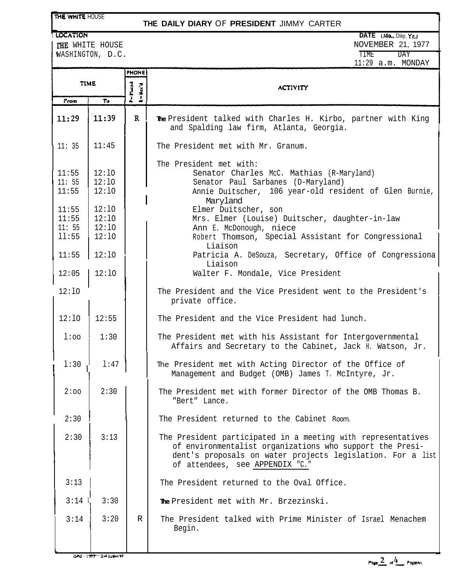### THE WHITE HOUSE

## **THE DAILY DIARY** OF **PRESIDENT** JIMMY CARTER

THE WHITE HOUSE WASHINGTON, D.C.

| <b>OCATION</b>                                                                                                                                                                                                                  | DATE $(Mo, Dav, Yr.)$ |
|---------------------------------------------------------------------------------------------------------------------------------------------------------------------------------------------------------------------------------|-----------------------|
| THE WHITE HOUSE                                                                                                                                                                                                                 | NOVEMBER 21, 1977     |
| WASHINGTON, D.C.                                                                                                                                                                                                                | TIME<br>DAY           |
| $\sim$ . The contract of the contract of the contract of the contract of the contract of the contract of the contract of the contract of the contract of the contract of the contract of the contract of the contract of the co | $11:29$ a.m. MONDAY   |

|                         |                         | <b>PHONE</b>                   |                                                                                                                                                                                                                           |
|-------------------------|-------------------------|--------------------------------|---------------------------------------------------------------------------------------------------------------------------------------------------------------------------------------------------------------------------|
| <b>TIME</b>             |                         | P=Placed<br>$k = \text{Rec}'d$ | <b>ACTIVITY</b>                                                                                                                                                                                                           |
| From                    | T <sub>o</sub>          |                                |                                                                                                                                                                                                                           |
| 11:29                   | 11:39                   | $\mathbf{R}$                   | The President talked with Charles H. Kirbo, partner with King<br>and Spalding law firm, Atlanta, Georgia.                                                                                                                 |
| 11:35                   | 11:45                   |                                | The President met with Mr. Granum.                                                                                                                                                                                        |
| 11:55<br>11:55<br>11:55 | 12:10<br>12:10<br>12:10 |                                | The President met with:<br>Senator Charles McC. Mathias (R-Maryland)<br>Senator Paul Sarbanes (D-Maryland)<br>Annie Duitscher, 106 year-old resident of Glen Burnie,<br>Maryland                                          |
| 11:55<br>11:55<br>11:55 | 12:10<br>12:10<br>12:10 |                                | Elmer Duitscher, son<br>Mrs. Elmer (Louise) Duitscher, daughter-in-law<br>Ann E. McDonough, niece                                                                                                                         |
| 11:55                   | 12:10                   |                                | Robert Thomson, Special Assistant for Congressional<br>Liaison                                                                                                                                                            |
| 11:55                   | 12:10                   |                                | Patricia A. DeSouza, Secretary, Office of Congressiona<br>Liaison                                                                                                                                                         |
| 12:05                   | 12:10                   |                                | Walter F. Mondale, Vice President                                                                                                                                                                                         |
| 12:10                   |                         |                                | The President and the Vice President went to the President's<br>private office.                                                                                                                                           |
| 12:10                   | 12:55                   |                                | The President and the Vice President had lunch.                                                                                                                                                                           |
| $1:$ 00                 | 1:30                    |                                | The President met with his Assistant for Intergovernmental<br>Affairs and Secretary to the Cabinet, Jack H. Watson, Jr.                                                                                                   |
| 1:30                    | 1:47                    |                                | The President met with Acting Director of the Office of<br>Management and Budget (OMB) James T. McIntyre, Jr.                                                                                                             |
| 2:00                    | 2:30                    |                                | The President met with former Director of the OMB Thomas B.<br>"Bert" Lance.                                                                                                                                              |
| 2:30                    |                         |                                | The President returned to the Cabinet Room.                                                                                                                                                                               |
| 2:30                    | 3:13                    |                                | The President participated in a meeting with representatives<br>of environmentalist organizations who support the Presi-<br>dent's proposals on water projects legislation. For a list<br>of attendees, see APPENDIX "C." |
| 3:13                    |                         |                                | The President returned to the Oval Office.                                                                                                                                                                                |
| 3:14                    | 3:30                    |                                | The President met with Mr. Brzezinski.                                                                                                                                                                                    |
| 3:14                    | 3:20                    | $\mathbb{R}$                   | The President talked with Prime Minister of Israel Menachem<br>Begin.                                                                                                                                                     |

 $G$ PO $\frac{1}{2}$ <del>TTT</del> $\frac{1}{2}$  $\frac{1}{n}$  $\frac{1}{2}$  $\frac{1}{n}$  $\frac{1}{2}$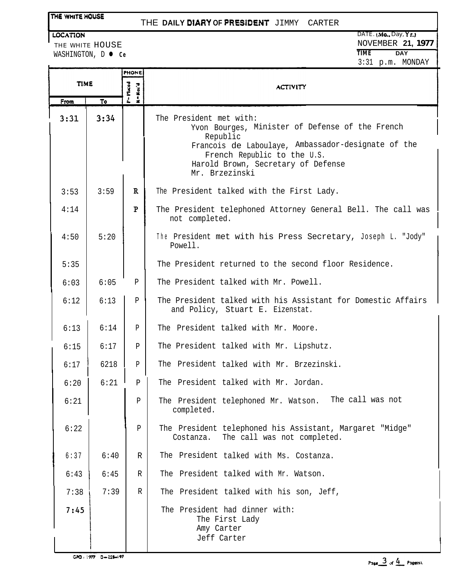## **THE WHITE HOUSE**

# THE **DAILY WARY OF QRES1DEhiT** JIMMY CARTER

WASHINGTON, D **O** Ce

|             |      | <b>PHONE</b>                 |                      |                                                                                                                                                                                                                                     |
|-------------|------|------------------------------|----------------------|-------------------------------------------------------------------------------------------------------------------------------------------------------------------------------------------------------------------------------------|
| <b>TIME</b> |      | $P = P$ laced<br>Kec'd       | <b>ACTIVITY</b>      |                                                                                                                                                                                                                                     |
|             | From | $\overline{\mathsf{r}}\circ$ | $\overline{\bullet}$ |                                                                                                                                                                                                                                     |
|             | 3:31 | 3:34                         |                      | The President met with:<br>Yvon Bourges, Minister of Defense of the French<br>Republic<br>Francois de Laboulaye, Ambassador-designate of the<br>French Republic to the U.S.<br>Harold Brown, Secretary of Defense<br>Mr. Brzezinski |
|             | 3:53 | 3:59                         | $\mathbf{R}$         | The President talked with the First Lady.                                                                                                                                                                                           |
|             | 4:14 |                              | $\mathbf{P}$         | The President telephoned Attorney General Bell. The call was<br>not completed.                                                                                                                                                      |
|             | 4:50 | 5:20                         |                      | The President met with his Press Secretary, Joseph L. "Jody"<br>Powell.                                                                                                                                                             |
|             | 5:35 |                              |                      | The President returned to the second floor Residence.                                                                                                                                                                               |
|             | 6:03 | 6:05                         | $\mathbf{P}$         | The President talked with Mr. Powell.                                                                                                                                                                                               |
|             | 6:12 | 6:13                         | $\mathbf{P}$         | The President talked with his Assistant for Domestic Affairs<br>and Policy, Stuart E. Eizenstat.                                                                                                                                    |
|             | 6:13 | 6:14                         | P                    | The President talked with Mr. Moore.                                                                                                                                                                                                |
|             | 6:15 | 6:17                         | P                    | The President talked with Mr. Lipshutz.                                                                                                                                                                                             |
|             | 6:17 | 6218                         | P                    | The President talked with Mr. Brzezinski.                                                                                                                                                                                           |
|             | 6:20 | 6:21                         | $\, {\bf P}$         | The President talked with Mr. Jordan.                                                                                                                                                                                               |
|             | 6:21 |                              | Ρ                    | The call was not<br>The President telephoned Mr. Watson.<br>completed.                                                                                                                                                              |
|             | 6:22 |                              | P                    | The President telephoned his Assistant, Margaret "Midge"<br>Costanza.<br>The call was not completed.                                                                                                                                |
|             | 6:37 | 6:40                         | R                    | The President talked with Ms. Costanza.                                                                                                                                                                                             |
|             | 6:43 | 6:45                         | R                    | The President talked with Mr. Watson.                                                                                                                                                                                               |
|             | 7:38 | 7:39                         | R                    | The President talked with his son, Jeff,                                                                                                                                                                                            |
|             | 7:45 |                              |                      | The President had dinner with:<br>The First Lady<br>Amy Carter<br>Jeff Carter                                                                                                                                                       |

 $GPO: 1977 - 3 - 228 - 197$ 

Page  $\frac{3}{4}$  of  $\frac{4}{4}$  Pages).